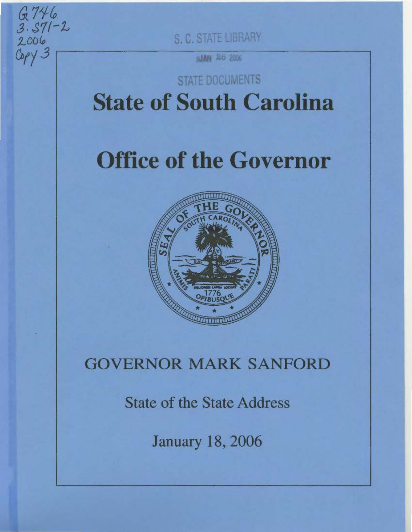S. C. STATE LIBRARY

 $G.746$ 

 $3.571 - 2$ 

**SJAN 26 2006** 

## **STATE DOCUMENTS State of South Carolina**

# **Office of the Governor**



### **GOVERNOR MARK SANFORD**

**State of the State Address** 

**January 18, 2006**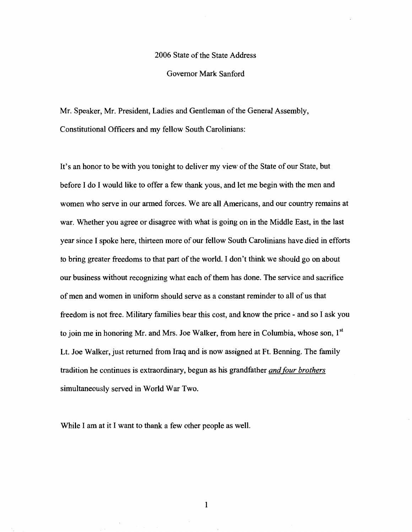#### 2006 State of the State Address

### Governor Mark Sanford

Mr. Speaker, Mr. President, Ladies and Gentleman of the General Assembly, Constitutional Officers and my fellow South Carolinians:

It's an honor to be with you tonight to deliver my view of the State of our State, but before I do I would like to offer a few thank yous, and let me begin with the men and women who serve in our armed forces. We are all Americans, and our country remains at war. Whether you agree or disagree with what is going on in the Middle East, in the last year since I spoke here, thirteen more of our fellow South Carolinians have died in efforts to bring greater freedoms to that part of the world. I don't think we should go on about our business without recognizing what each of them has done. The service and sacrifice of men and women in uniform should serve as a constant reminder to all of us that freedom is not free. Military families bear this cost, and know the price - and so I ask you to join me in honoring Mr. and Mrs. Joe Walker, from here in Columbia, whose son,  $1<sup>st</sup>$ Lt. Joe Walker, just returned from Iraq and is now assigned at Ft. Benning. The family tradition he continues is extraordinary, begun as his grandfather *and four brothers*  simultaneously served in World War Two.

While I am at it I want to thank a few other people as well.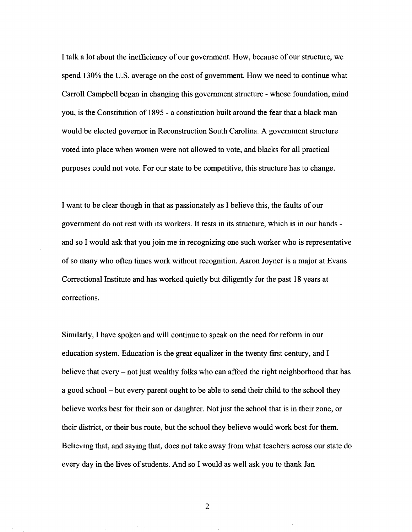I talk a lot about the inefficiency of our government. How, because of our structure, we spend 130% the U.S. average on the cost of government. How we need to continue what Carroll Campbell began in changing this government structure - whose foundation, mind you, is the Constitution of 1895 - a constitution built around the fear that a black man would be elected governor in Reconstruction South Carolina. A government structure voted into place when women were not allowed to vote, and blacks for all practical purposes could not vote. For our state to be competitive, this structure has to change.

I want to be clear though in that as passionately as I believe this, the faults of our government do not rest with its workers. It rests in its structure, which is in our hands and so I would ask that you join me in recognizing one such worker who is representative of so many who often times work without recognition. Aaron Joyner is a major at Evans Correctional Institute and has worked quietly but diligently for the past 18 years at corrections.

Similarly, I have spoken and will continue to speak on the need for reform in our education system. Education is the great equalizer in the twenty first century, and I believe that every  $-$  not just wealthy folks who can afford the right neighborhood that has a good school - but every parent ought to be able to send their child to the school they believe works best for their son or daughter. Not just the school that is in their zone, or their district, or their bus route, but the school they believe would work best for them. Believing that, and saying that, does not take away from what teachers across our state do every day in the lives of students. And so I would as well ask you to thank Jan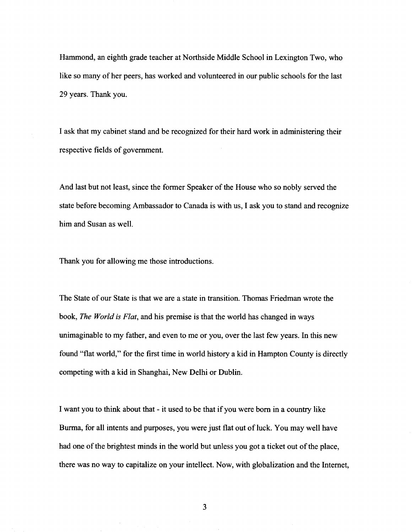Hammond, an eighth grade teacher at Northside Middle School in Lexington Two, who like so many of her peers, has worked and volunteered in our public schools for the last 29 years. Thank you.

I ask that my cabinet stand and be recognized for their hard work in administering their respective fields of government.

And last but not least, since the former Speaker of the House who so nobly served the state before becoming Ambassador to Canada is with us, I ask you to stand and recognize him and Susan as well.

Thank you for allowing me those introductions.

The State of our State is that we are a state in transition. Thomas Friedman wrote the book, *The World is Flat,* and his premise is that the world has changed in ways unimaginable to my father, and even to me or you, over the last few years. In this new found "flat world," for the first time in world history a kid in Hampton County is directly competing with a kid in Shanghai, New Delhi or Dublin.

I want you to think about that - it used to be that if you were born in a country like Burma, for all intents and purposes, you were just flat out of luck. You may well have had one of the brightest minds in the world but unless you got a ticket out of the place, there was no way to capitalize on your intellect. Now, with globalization and the Internet,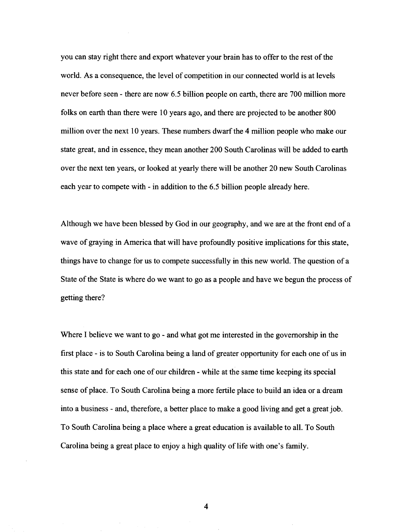you can stay right there and export whatever your brain has to offer to the rest of the world. As a consequence, the level of competition in our connected world is at levels never before seen - there are now 6.5 billion people on earth, there are 700 million more folks on earth than there were 10 years ago, and there are projected to be another 800 million over the next 10 years. These numbers dwarf the 4 million people who make our state great, and in essence, they mean another 200 South Carolinas will be added to earth over the next ten years, or looked at yearly there will be another 20 new South Carolinas each year to compete with - in addition to the 6.5 billion people already here.

Although we have been blessed by God in our geography, and we are at the front end of a wave of graying in America that will have profoundly positive implications for this state, things have to change for us to compete successfully in this new world. The question of a State of the State is where do we want to go as a people and have we begun the process of getting there?

Where I believe we want to go - and what got me interested in the governorship in the first place - is to South Carolina being a land of greater opportunity for each one of us in this state and for each one of our children - while at the same time keeping its special sense of place. To South Carolina being a more fertile place to build an idea or a dream into a business - and, therefore, a better place to make a good living and get a great job. To South Carolina being a place where a great education is available to all. To South Carolina being a great place to enjoy a high quality of life with one's family.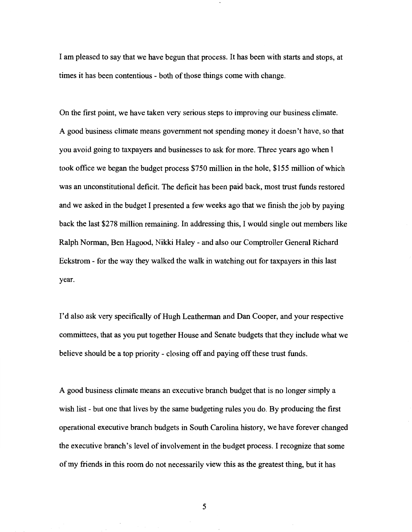I am pleased to say that we have begun that process. It has been with starts and stops, at times it has been contentious - both of those things come with change.

On the first point, we have taken very serious steps to improving our business climate. A good business climate means government not spending money it doesn't have, so that you avoid going to taxpayers and businesses to ask for more. Three years ago when I took office we began the budget process \$750 million in the hole, \$155 million of which was an unconstitutional deficit. The deficit has been paid back, most trust funds restored and we asked in the budget I presented a few weeks ago that we finish the job by paying back the last \$278 million remaining. In addressing this, I would single out members like Ralph Norman, Ben Hagood, Nikki Haley - and also our Comptroller General Richard Eckstrom - for the way they walked the walk in watching out for taxpayers in this last year.

I'd also ask very specifically of Hugh Leatherman and Dan Cooper, and your respective committees, that as you put together House and Senate budgets that they include what we believe should be a top priority - closing off and paying off these trust funds.

A good business climate means an executive branch budget that is no longer simply a wish list - but one that lives by the same budgeting rules you do. By producing the first operational executive branch budgets in South Carolina history, we have forever changed the executive branch's level of involvement in the budget process. I recognize that some of my friends in this room do not necessarily view this as the greatest thing, but it has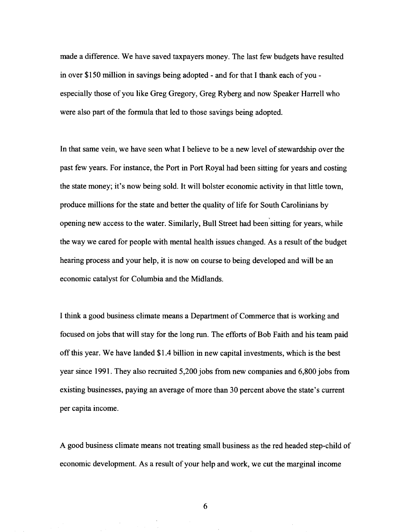made a difference. We have saved taxpayers money. The last few budgets have resulted in over \$150 million in savings being adopted- and for that I thank each of youespecially those of you like Greg Gregory, Greg Ryberg and now Speaker Harrell who were also part of the formula that led to those savings being adopted.

In that same vein, we have seen what I believe to be a new level of stewardship over the past few years. For instance, the Port in Port Royal had been sitting for years and costing the state money; it's now being sold. It will bolster economic activity in that little town, produce millions for the state and better the quality of life for South Carolinians by opening new access to the water. Similarly, Bull Street had been sitting for years, while the way we cared for people with mental health issues changed. As a result of the budget hearing process and your help, it is now on course to being developed and will be an economic catalyst for Columbia and the Midlands.

I think a good business climate means a Department of Commerce that is working and focused on jobs that will stay for the long run. The efforts of Bob Faith and his team paid off this year. We have landed \$1.4 billion in new capital investments, which is the best year since 1991. They also recruited 5,200 jobs from new companies and 6,800 jobs from existing businesses, paying an average of more than 30 percent above the state's current per capita income.

A good business climate means not treating small business as the red headed step-child of economic development. As a result of your help and work, we cut the marginal income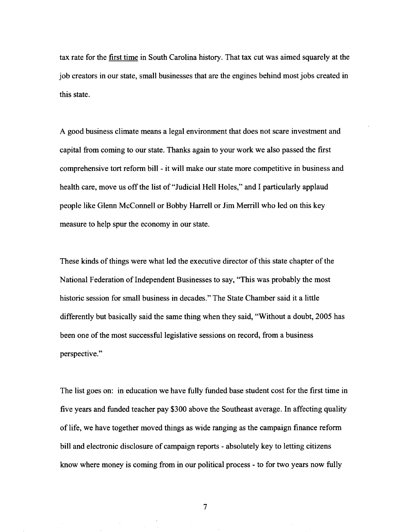tax rate for the first time in South Carolina history. That tax cut was aimed squarely at the job creators in our state, small businesses that are the engines behind most jobs created in this state.

A good business climate means a legal environment that does not scare investment and capital from coming to our state. Thanks again to your work we also passed the first comprehensive tort reform bill - it will make our state more competitive in business and health care, move us off the list of "Judicial Hell Holes," and I particularly applaud people like Glenn McConnell or Bobby Harrell or Jim Merrill who led on this key measure to help spur the economy in our state.

These kinds of things were what led the executive director of this state chapter of the National Federation of Independent Businesses to say, "This was probably the most historic session for small business in decades." The State Chamber said it a little differently but basically said the same thing when they said, "Without a doubt, 2005 has been one of the most successful legislative sessions on record, from a business perspective."

The list goes on: in education we have fully funded base student cost for the first time in five years and funded teacher pay \$300 above the Southeast average. In affecting quality of life, we have together moved things as wide ranging as the campaign finance reform bill and electronic disclosure of campaign reports - absolutely key to letting citizens know where money is coming from in our political process - to for two years now fully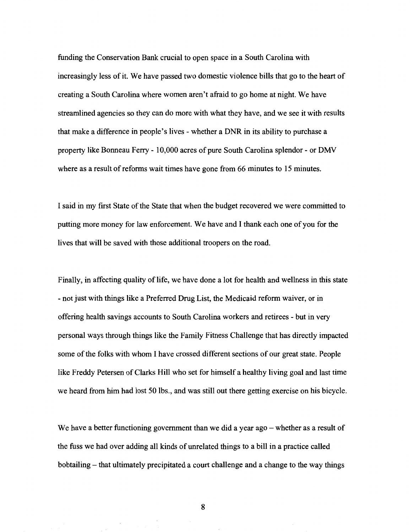funding the Conservation Bank crucial to open space in a South Carolina with increasingly less of it. We have passed two domestic violence bills that go to the heart of creating a South Carolina where women aren't afraid to go home at night. We have streamlined agencies so they can do more with what they have, and we see it with results that make a difference in people's lives- whether a DNR in its ability to purchase a property like Bonneau Ferry- 10,000 acres of pure South Carolina splendor- or DMV where as a result of reforms wait times have gone from 66 minutes to 15 minutes.

I said in my first State of the State that when the budget recovered we were committed to putting more money for law enforcement. We have and I thank each one of you for the lives that will be saved with those additional troopers on the road.

Finally, in affecting quality of life, we have done a lot for health and wellness in this state - not just with things like a Preferred Drug List, the Medicaid reform waiver, or in offering health savings accounts to South Carolina workers and retirees - but in very personal ways through things like the Family Fitness Challenge that has directly impacted some of the folks with whom I have crossed different sections of our great state. People like Freddy Petersen of Clarks Hill who set for himself a healthy living goal and last time we heard from him had lost 50 lbs., and was still out there getting exercise on his bicycle.

We have a better functioning government than we did a year  $ago$  - whether as a result of the fuss we had over adding all kinds of unrelated things to a bill in a practice called bobtailing – that ultimately precipitated a court challenge and a change to the way things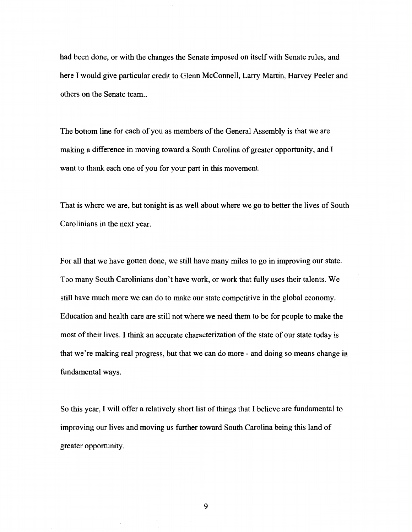had been done, or with the changes the Senate imposed on itself with Senate rules, and here I would give particular credit to Glenn McConnell, Larry Martin, Harvey Peeler and others on the Senate team...

The bottom line for each of you as members of the General Assembly is that we are making a difference in moving toward a South Carolina of greater opportunity, and I want to thank each one of you for your part in this movement.

That is where we are, but tonight is as well about where we go to better the lives of South Carolinians in the next year.

For all that we have gotten done, we still have many miles to go in improving our state. Too many South Carolinians don't have work, or work that fully uses their talents. We still have much more we can do to make our state competitive in the global economy. Education and health care are still not where we need them to be for people to make the most of their lives. I think an accurate characterization of the state of our state today is that we're making real progress, but that we can do more- and doing so means change in fundamental ways.

So this year, I will offer a relatively short list of things that I believe are fundamental to improving our lives and moving us further toward South Carolina being this land of greater opportunity.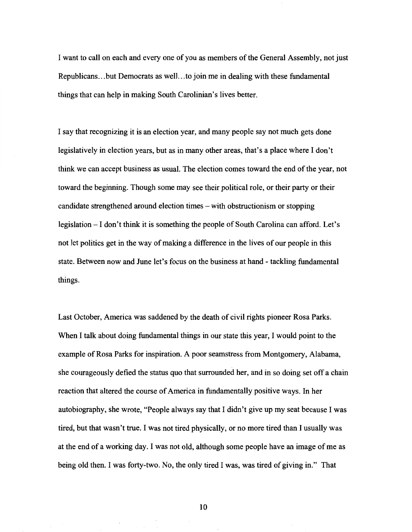I want to call on each and every one ofyou as members of the General Assembly, not just Republicans ... but Democrats as well ... to join me in dealing with these fundamental things that can help in making South Carolinian's lives better.

I say that recognizing it is an election year, and many people say not much gets done legislatively in election years, but as in many other areas, that's a place where I don't think we can accept business as usual. The election comes toward the end of the year, not toward the beginning. Though some may see their political role, or their party or their candidate strengthened around election times – with obstructionism or stopping legislation – I don't think it is something the people of South Carolina can afford. Let's not let politics get in the way of making a difference in the lives of our people in this state. Between now and June let's focus on the business at hand- tackling fundamental things.

Last October, America was saddened by the death of civil rights pioneer Rosa Parks. When I talk about doing fundamental things in our state this year, I would point to the example of Rosa Parks for inspiration. A poor seamstress from Montgomery, Alabama, she courageously defied the status quo that surrounded her, and in so doing set off a chain reaction that altered the course of America in fundamentally positive ways. In her autobiography, she wrote, "People always say that I didn't give up my seat because I was tired, but that wasn't true. I was not tired physically, or no more tired than I usually was at the end of a working day. I was not old, although some people have an image of me as being old then. I was forty-two. No, the only tired I was, was tired of giving in." That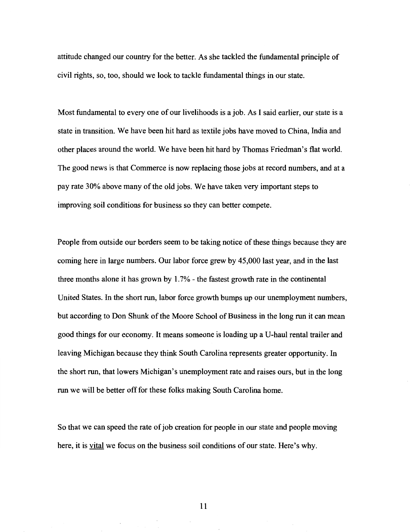attitude changed our country for the better. As she tackled the fundamental principle of civil rights, so, too, should we look to tackle fundamental things in our state.

Most fundamental to every one of our livelihoods is a job. As I said earlier, our state is a state in transition. We have been hit hard as textile jobs have moved to China, India and other places around the world. We have been hit hard by Thomas Friedman's flat world. The good news is that Commerce is now replacing those jobs at record numbers, and at a pay rate 30% above many of the old jobs. We have taken very important steps to improving soil conditions for business so they can better compete.

People from outside our borders seem to be taking notice of these things because they are coming here in large numbers. Our labor force grew by 45,000 last year, and in the last three months alone it has grown by 1. 7% - the fastest growth rate in the continental United States. In the short run, labor force growth bumps up our unemployment numbers, but according to Don Shunk of the Moore School of Business in the long run it can mean good things for our economy. It means someone is loading up aU-haul rental trailer and leaving Michigan because they think South Carolina represents greater opportunity. In the short run, that lowers Michigan's unemployment rate and raises ours, but in the long run we will be better off for these folks making South Carolina home.

So that we can speed the rate of job creation for people in our state and people moving here, it is <u>vital</u> we focus on the business soil conditions of our state. Here's why.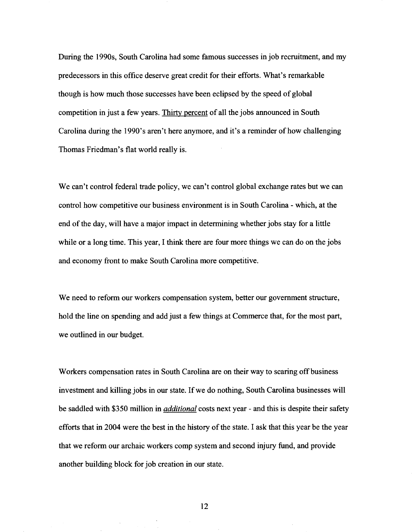During the 1990s, South Carolina had some famous successes in job recruitment, and my predecessors in this office deserve great credit for their efforts. What's remarkable though is how much those successes have been eclipsed by the speed of global competition in just a few years. Thirty percent of all the jobs announced in South Carolina during the 1990's aren't here anymore, and it's a reminder of how challenging Thomas Friedman's flat world really is.

We can't control federal trade policy, we can't control global exchange rates but we can control how competitive our business environment is in South Carolina - which, at the end of the day, will have a major impact in determining whether jobs stay for a little while or a long time. This year, I think there are four more things we can do on the jobs and economy front to make South Carolina more competitive.

We need to reform our workers compensation system, better our government structure, hold the line on spending and add just a few things at Commerce that, for the most part, we outlined in our budget.

Workers compensation rates in South Carolina are on their way to scaring off business investment and killing jobs in our state. If we do nothing, South Carolina businesses will be saddled with \$350 million in *additional* costs next year- and this is despite their safety efforts that in 2004 were the best in the history of the state. I ask that this year be the year that we reform our archaic workers comp system and second injury fund, and provide another building block for job creation in our state.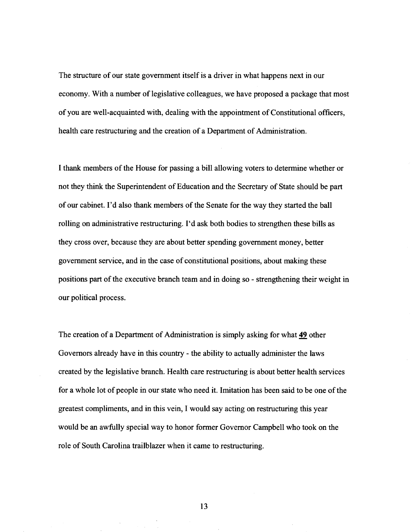The structure of our state government itself is a driver in what happens next in our economy. With a number of legislative colleagues, we have proposed a package that most of you are well-acquainted with, dealing with the appointment of Constitutional officers, health care restructuring and the creation of a Department of Administration.

I thank members of the House for passing a bill allowing voters to determine whether or not they think the Superintendent of Education and the Secretary of State should be part of our cabinet. I'd also thank members of the Senate for the way they started the ball rolling on administrative restructuring. I'd ask both bodies to strengthen these bills as they cross over, because they are about better spending government money, better government service, and in the case of constitutional positions, about making these positions part of the executive branch team and in doing so - strengthening their weight in our political process.

The creation of a Department of Administration is simply asking for what 49 other Governors already have in this country - the ability to actually administer the laws created by the legislative branch. Health care restructuring is about better health services for a whole lot of people in our state who need it. Imitation has been said to be one of the greatest compliments, and in this vein, I would say acting on restructuring this year would be an awfully special way to honor former Governor Campbell who took on the role of South Carolina trailblazer when it came to restructuring.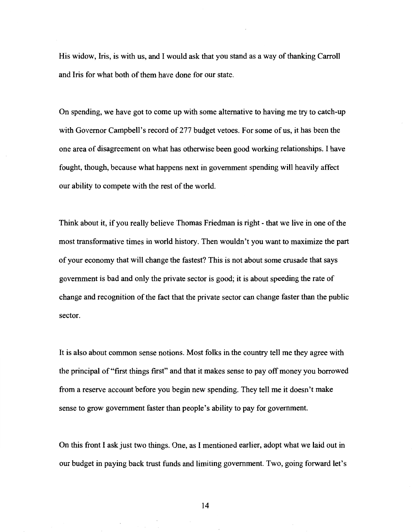His widow, Iris, is with us, and I would ask that you stand as a way of thanking Carroll and Iris for what both of them have done for our state.

On spending, we have got to come up with some alternative to having me try to catch-up with Governor Campbell's record of 277 budget vetoes. For some of us, it has been the one area of disagreement on what has otherwise been good working relationships. I have fought, though, because what happens next in government spending will heavily affect our ability to compete with the rest of the world.

Think about it, if you really believe Thomas Friedman is right - that we live in one of the most transformative times in world history. Then wouldn't you want to maximize the part of your economy that will change the fastest? This is not about some crusade that says government is bad and only the private sector is good; it is about speeding the rate of change and recognition of the fact that the private sector can change faster than the public sector.

It is also about common sense notions. Most folks in the country tell me they agree with the principal of "first things first" and that it makes sense to pay off money you borrowed from a reserve account before you begin new spending. They tell me it doesn't make sense to grow government faster than people's ability to pay for government.

On this front I ask just two things. One, as I mentioned earlier, adopt what we laid out in our budget in paying back trust funds and limiting government. Two, going forward let's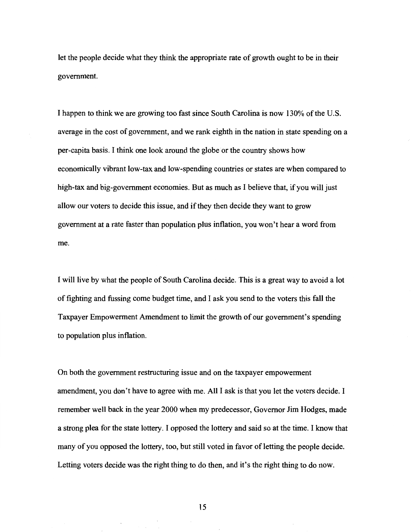let the people decide what they think the appropriate rate of growth ought to be in their government.

I happen to think we are growing too fast since South Carolina is now 130% of the U.S. average in the cost of government, and we rank eighth in the nation in state spending on a per-capita basis. I think one look around the globe or the country shows how economically vibrant low-tax and low-spending countries or states are when compared to high-tax and big-government economies. But as much as I believe that, if you will just allow our voters to decide this issue, and if they then decide they want to grow government at a rate faster than population plus inflation, you won't hear a word from me.

I will live by what the people of South Carolina decide. This is a great way to avoid a lot of fighting and fussing come budget time, and I ask you send to the voters this fall the Taxpayer Empowerment Amendment to limit the growth of our government's spending to population plus inflation.

On both the government restructuring issue and on the taxpayer empowerment amendment, you don't have to agree with me. All I ask is that you let the voters decide. I remember well back in the year 2000 when my predecessor, Governor Jim Hodges, made a strong plea for the state lottery. I opposed the lottery and said so at the time. I know that many of you opposed the lottery, too, but still voted in favor of letting the people decide. Letting voters decide was the right thing to do then, and it's the right thing to do now.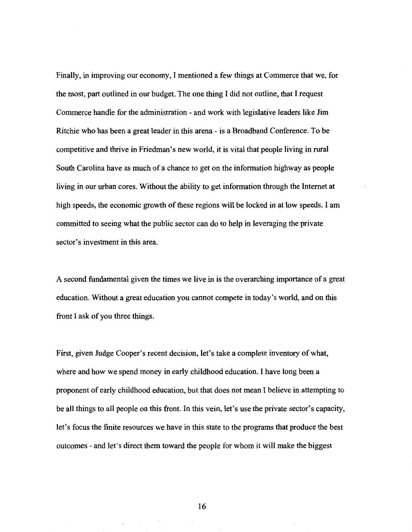Finally, in improving our economy, I mentioned a few things at Commerce that we, for the most, part outlined in our budget. The one thing I did not outline, that I request Commerce handle for the administration - and work with legislative leaders like Jim Ritchie who has been a great leader in this arena- is a Broadband Conference. To be competitive and thrive in Friedman's new world, it is vital that people living in rural South Carolina have as much of a chance to get on the information highway as people living in our urban cores. Without the ability to get information through the Internet at high speeds, the economic growth of these regions will be locked in at low speeds. I am committed to seeing what the public sector can do to help in leveraging the private sector's investment in this area.

A second fundamental given the times we live in is the overarching importance of a great education. Without a great education you cannot compete in today's world, and on this front I ask of you three things.

First, given Judge Cooper's recent decision, let's take a complete inventory of what, where and how we spend money in early childhood education. I have long been a proponent of early childhood education, but that does not mean I believe in attempting to be all things to all people on this front. In this vein, let's use the private sector's capacity, let's focus the finite resources we have in this state to the programs that produce the best outcomes- and let's direct them toward the people for whom it will make the biggest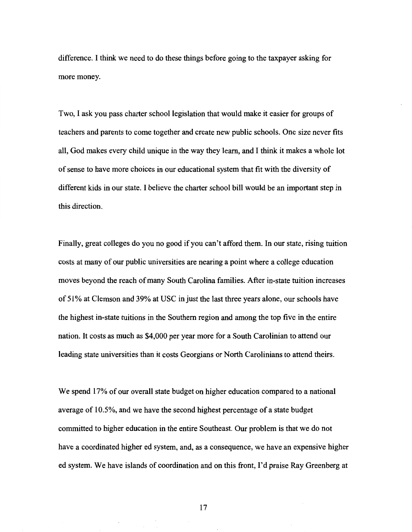difference. I think we need to do these things before going to the taxpayer asking for more money.

Two, I ask you pass charter school legislation that would make it easier for groups of teachers and parents to come together and create new public schools. One size never fits all, God makes every child unique in the way they learn, and I think it makes a whole lot of sense to have more choices in our educational system that fit with the diversity of different kids in our state. I believe the charter school bill would be an important step in this direction.

Finally, great colleges do you no good if you can't afford them. In our state, rising tuition costs at many of our public universities are nearing a point where a college education moves beyond the reach of many South Carolina families. After in-state tuition increases of 51% at Clemson and 39% at USC in just the last three years alone, our schools have the highest in-state tuitions in the Southern region and among the top five in the entire nation. It costs as much as \$4,000 per year more for a South Carolinian to attend our leading state universities than it costs Georgians or North Carolinians to attend theirs.

We spend 17% of our overall state budget on higher education compared to a national average of 10.5%, and we have the second highest percentage of a state budget committed to higher education in the entire Southeast. Our problem is that we do not have a coordinated higher ed system, and, as a consequence, we have an expensive higher ed system. We have islands of coordination and on this front, I'd praise Ray Greenberg at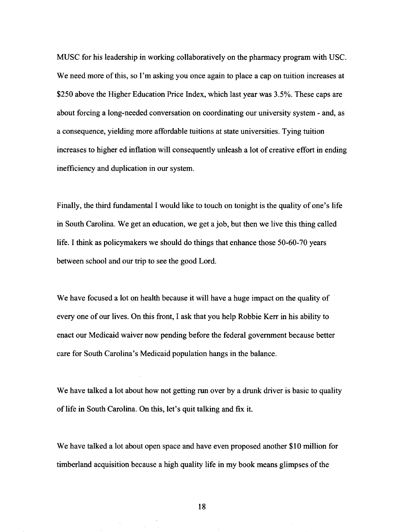MUSC for his leadership in working collaboratively on the pharmacy program with USC. We need more of this, so I'm asking you once again to place a cap on tuition increases at \$250 above the Higher Education Price Index, which last year was 3.5%. These caps are about forcing a long-needed conversation on coordinating our university system - and, as a consequence, yielding more affordable tuitions at state universities. Tying tuition increases to higher ed inflation will consequently unleash a lot of creative effort in ending inefficiency and duplication in our system.

Finally, the third fundamental I would like to touch on tonight is the quality of one's life in South Carolina. We get an education, we get a job, but then we live this thing called life. I think as policymakers we should do things that enhance those 50-60-70 years between school and our trip to see the good Lord.

We have focused a lot on health because it will have a huge impact on the quality of every one of our lives. On this front, I ask that you help Robbie Kerr in his ability to enact our Medicaid waiver now pending before the federal government because better care for South Carolina's Medicaid population hangs in the balance.

We have talked a lot about how not getting run over by a drunk driver is basic to quality of life in South Carolina. On this, let's quit talking and fix it.

We have talked a lot about open space and have even proposed another \$10 million for timberland acquisition because a high quality life in my book means glimpses of the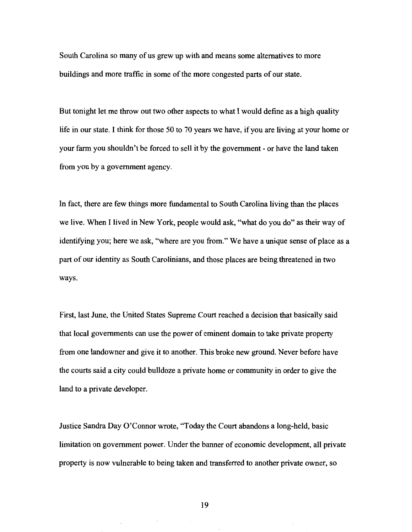South Carolina so many of us grew up with and means some alternatives to more buildings and more traffic in some of the more congested parts of our state.

But tonight let me throw out two other aspects to what I would define as a high quality life in our state. I think for those 50 to 70 years we have, if you are living at your home or your farm you shouldn't be forced to sell it by the government - or have the land taken from you by a government agency.

In fact, there are few things more fundamental to South Carolina living than the places we live. When I lived in New York, people would ask, "what do you do" as their way of identifying you; here we ask, "where are you from." We have a unique sense of place as a part of our identity as South Carolinians, and those places are being threatened in two ways.

First, last June, the United States Supreme Court reached a decision that basically said that local governments can use the power of eminent domain to take private property from one landowner and give it to another. This broke new ground. Never before have the courts said a city could bulldoze a private home or community in order to give the land to a private developer.

Justice Sandra Day O'Connor wrote, "Today the Court abandons a long-held, basic limitation on government power. Under the banner of economic development, all private property is now vulnerable to being taken and transferred to another private owner, so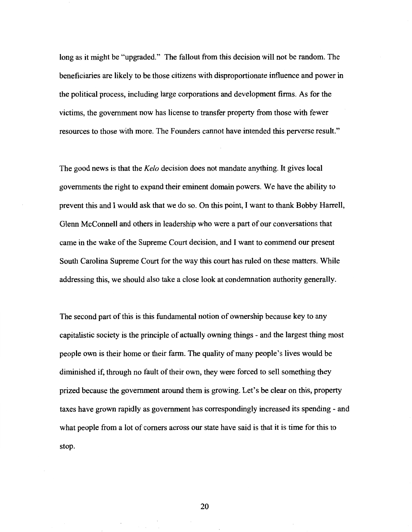long as it might be "upgraded." The fallout from this decision will not be random. The beneficiaries are likely to be those citizens with disproportionate influence and power in the political process, including large corporations and development firms. As for the victims, the government now has license to transfer property from those with fewer resources to those with more. The Founders cannot have intended this perverse result."

The good news is that the *Kelo* decision does not mandate anything. It gives local governments the right to expand their eminent domain powers. We have the ability to prevent this and I would ask that we do so. On this point, I want to thank Bobby Harrell, Glenn McConnell and others in leadership who were a part of our conversations that came in the wake of the Supreme Court decision, and I want to commend our present South Carolina Supreme Court for the way this court has ruled on these matters. While addressing this, we should also take a close look at condemnation authority generally.

The second part of this is this fundamental notion of ownership because key to any capitalistic society is the principle of actually owning things - and the largest thing most people own is their home or their farm. The quality of many people's lives would be diminished if, through no fault of their own, they were forced to sell something they prized because the government around them is growing. Let's be clear on this, property taxes have grown rapidly as government has correspondingly increased its spending - and what people from a lot of comers across our state have said is that it is time for this to stop.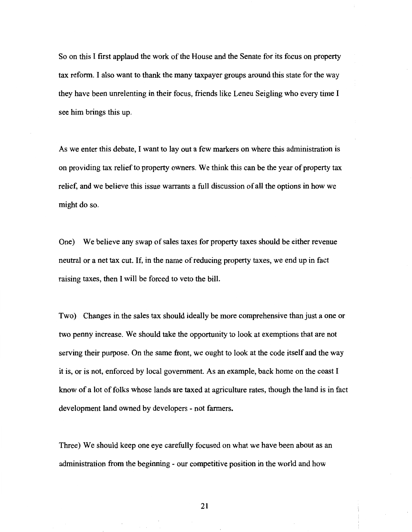So on this I first applaud the work of the House and the Senate for its focus on property tax reform. I also want to thank the many taxpayer groups around this state for the way they have been unrelenting in their focus, friends like Leneu Seigling who every time I see him brings this up.

As we enter this debate, I want to lay out a few markers on where this administration is on providing tax relief to property owners. We think this can be the year of property tax relief, and we believe this issue warrants a full discussion of all the options in how we might do so.

One) We believe any swap of sales taxes for property taxes should be either revenue neutral or a net tax cut. If, in the name of reducing property taxes, we end up in fact raising taxes, then I will be forced to veto the bill.

Two) Changes in the sales tax should ideally be more comprehensive than just a one or two penny increase. We should take the opportunity to look at exemptions that are not serving their purpose. On the same front, we ought to look at the code itself and the way it is, or is not, enforced by local government. As an example, back home on the coast I know of a lot of folks whose lands are taxed at agriculture rates, though the land is in fact development land owned by developers - not farmers.

Three) We should keep one eye carefully focused on what we have been about as an administration from the beginning - our competitive position in the world and how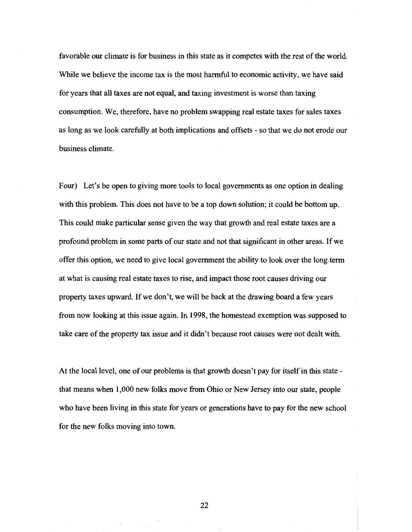favorable our climate is for business in this state as it competes with the rest of the world. While we believe the income tax is the most harmful to economic activity, we have said for years that all taxes are not equal, and taxing investment is worse than taxing consumption. We, therefore, have no problem swapping real estate taxes for sales taxes as long as we look carefully at both implications and offsets - so that we do not erode our business climate.

Four) Let's be open to giving more tools to local governments as one option in dealing with this problem. This does not have to be a top down solution; it could be bottom up. This could make particular sense given the way that growth and real estate taxes are a profound problem in some parts of our state and not that significant in other areas. If we offer this option, we need to give local government the ability to look over the long term at what is causing real estate taxes to rise, and impact those root causes driving our property taxes upward. If we don't, we will be back at the drawing board a few years from now looking at this issue again. In 1998, the homestead exemption was supposed to take care of the property tax issue and it didn't because root causes were not dealt with.

At the local level, one of our problems is that growth doesn't pay for itself in this state that means when 1,000 new folks move from Ohio or New Jersey into our state, people who have been living in this state for years or generations have to pay for the new school for the new folks moving into town.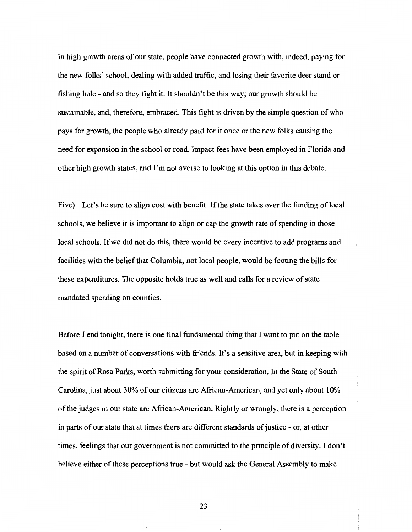In high growth areas of our state, people have connected growth with, indeed, paying for the new folks' school, dealing with added traffic, and losing their favorite deer stand or fishing hole- and so they fight it. It shouldn't be this way; our growth should be sustainable, and, therefore, embraced. This fight is driven by the simple question of who pays for growth, the people who already paid for it once or the new folks causing the need for expansion in the school or road. Impact fees have been employed in Florida and other high growth states, and I'm not averse to looking at this option in this debate.

Five) Let's be sure to align cost with benefit. If the state takes over the funding of local schools, we believe it is important to align or cap the growth rate of spending in those local schools. If we did not do this, there would be every incentive to add programs and facilities with the belief that Columbia, not local people, would be footing the bills for these expenditures. The opposite holds true as well and calls for a review of state mandated spending on counties.

Before I end tonight, there is one final fundamental thing that I want to put on the table based on a number of conversations with friends. It's a sensitive area, but in keeping with the spirit of Rosa Parks, worth submitting for your consideration. In the State of South Carolina, just about 30% of our citizens are African-American, and yet only about I 0% of the judges in our state are African-American. Rightly or wrongly, there is a perception in parts of our state that at times there are different standards of justice - or, at other times, feelings that our government is not committed to the principle of diversity. I don't believe either of these perceptions true - but would ask the General Assembly to make